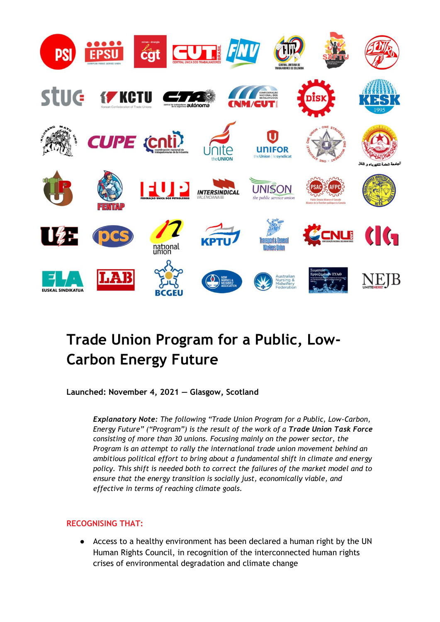

# **Trade Union Program for a Public, Low-Carbon Energy Future**

**Launched: November 4, 2021 — Glasgow, Scotland**

*Explanatory Note: The following "Trade Union Program for a Public, Low-Carbon, Energy Future" ("Program") is the result of the work of a Trade Union Task Force consisting of more than 30 unions. Focusing mainly on the power sector, the Program is an attempt to rally the international trade union movement behind an ambitious political effort to bring about a fundamental shift in climate and energy policy. This shift is needed both to correct the failures of the market model and to ensure that the energy transition is socially just, economically viable, and effective in terms of reaching climate goals.*

# **RECOGNISING THAT:**

● Access to a healthy environment has been declared a human right by the UN Human Rights Council, in recognition of the interconnected human rights crises of environmental degradation and climate change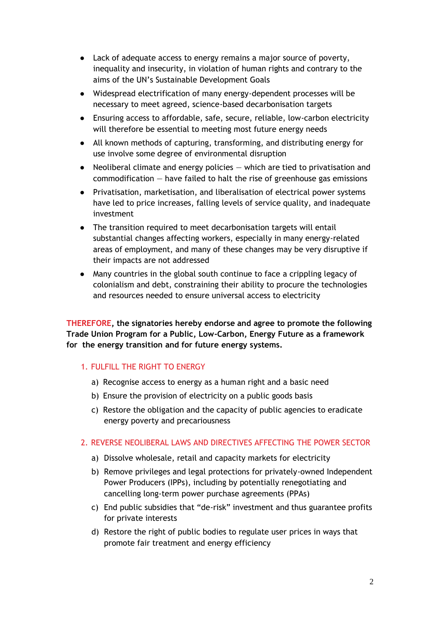- Lack of adequate access to energy remains a major source of poverty, inequality and insecurity, in violation of human rights and contrary to the aims of the UN's Sustainable Development Goals
- Widespread electrification of many energy-dependent processes will be necessary to meet agreed, science-based decarbonisation targets
- Ensuring access to affordable, safe, secure, reliable, low-carbon electricity will therefore be essential to meeting most future energy needs
- All known methods of capturing, transforming, and distributing energy for use involve some degree of environmental disruption
- Neoliberal climate and energy policies  $-$  which are tied to privatisation and commodification — have failed to halt the rise of greenhouse gas emissions
- Privatisation, marketisation, and liberalisation of electrical power systems have led to price increases, falling levels of service quality, and inadequate investment
- The transition required to meet decarbonisation targets will entail substantial changes affecting workers, especially in many energy-related areas of employment, and many of these changes may be very disruptive if their impacts are not addressed
- Many countries in the global south continue to face a crippling legacy of colonialism and debt, constraining their ability to procure the technologies and resources needed to ensure universal access to electricity

**THEREFORE, the signatories hereby endorse and agree to promote the following Trade Union Program for a Public, Low-Carbon, Energy Future as a framework for the energy transition and for future energy systems.**

# 1. FULFILL THE RIGHT TO ENERGY

- a) Recognise access to energy as a human right and a basic need
- b) Ensure the provision of electricity on a public goods basis
- c) Restore the obligation and the capacity of public agencies to eradicate energy poverty and precariousness

# 2. REVERSE NEOLIBERAL LAWS AND DIRECTIVES AFFECTING THE POWER SECTOR

- a) Dissolve wholesale, retail and capacity markets for electricity
- b) Remove privileges and legal protections for privately-owned Independent Power Producers (IPPs), including by potentially renegotiating and cancelling long-term power purchase agreements (PPAs)
- c) End public subsidies that "de-risk" investment and thus guarantee profits for private interests
- d) Restore the right of public bodies to regulate user prices in ways that promote fair treatment and energy efficiency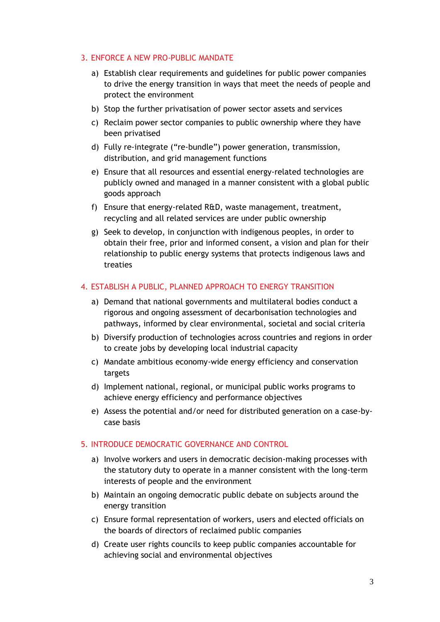#### 3. ENFORCE A NEW PRO-PUBLIC MANDATE

- a) Establish clear requirements and guidelines for public power companies to drive the energy transition in ways that meet the needs of people and protect the environment
- b) Stop the further privatisation of power sector assets and services
- c) Reclaim power sector companies to public ownership where they have been privatised
- d) Fully re-integrate ("re-bundle") power generation, transmission, distribution, and grid management functions
- e) Ensure that all resources and essential energy-related technologies are publicly owned and managed in a manner consistent with a global public goods approach
- f) Ensure that energy-related R&D, waste management, treatment, recycling and all related services are under public ownership
- g) Seek to develop, in conjunction with indigenous peoples, in order to obtain their free, prior and informed consent, a vision and plan for their relationship to public energy systems that protects indigenous laws and treaties

#### 4. ESTABLISH A PUBLIC, PLANNED APPROACH TO ENERGY TRANSITION

- a) Demand that national governments and multilateral bodies conduct a rigorous and ongoing assessment of decarbonisation technologies and pathways, informed by clear environmental, societal and social criteria
- b) Diversify production of technologies across countries and regions in order to create jobs by developing local industrial capacity
- c) Mandate ambitious economy-wide energy efficiency and conservation targets
- d) Implement national, regional, or municipal public works programs to achieve energy efficiency and performance objectives
- e) Assess the potential and/or need for distributed generation on a case-bycase basis

#### 5. INTRODUCE DEMOCRATIC GOVERNANCE AND CONTROL

- a) Involve workers and users in democratic decision-making processes with the statutory duty to operate in a manner consistent with the long-term interests of people and the environment
- b) Maintain an ongoing democratic public debate on subjects around the energy transition
- c) Ensure formal representation of workers, users and elected officials on the boards of directors of reclaimed public companies
- d) Create user rights councils to keep public companies accountable for achieving social and environmental objectives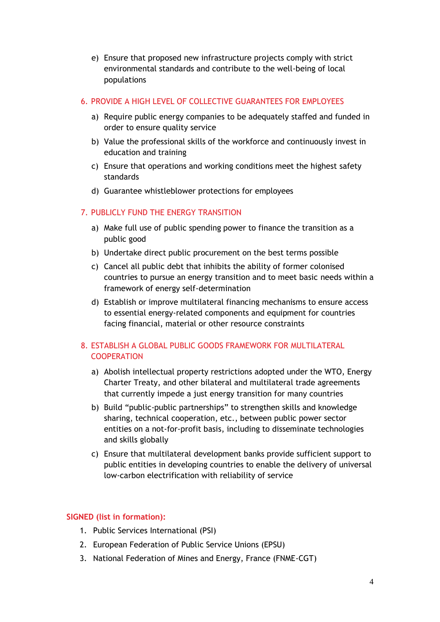e) Ensure that proposed new infrastructure projects comply with strict environmental standards and contribute to the well-being of local populations

#### 6. PROVIDE A HIGH LEVEL OF COLLECTIVE GUARANTEES FOR EMPLOYEES

- a) Require public energy companies to be adequately staffed and funded in order to ensure quality service
- b) Value the professional skills of the workforce and continuously invest in education and training
- c) Ensure that operations and working conditions meet the highest safety standards
- d) Guarantee whistleblower protections for employees

# 7. PUBLICLY FUND THE ENERGY TRANSITION

- a) Make full use of public spending power to finance the transition as a public good
- b) Undertake direct public procurement on the best terms possible
- c) Cancel all public debt that inhibits the ability of former colonised countries to pursue an energy transition and to meet basic needs within a framework of energy self-determination
- d) Establish or improve multilateral financing mechanisms to ensure access to essential energy-related components and equipment for countries facing financial, material or other resource constraints

# 8. ESTABLISH A GLOBAL PUBLIC GOODS FRAMEWORK FOR MULTILATERAL **COOPERATION**

- a) Abolish intellectual property restrictions adopted under the WTO, Energy Charter Treaty, and other bilateral and multilateral trade agreements that currently impede a just energy transition for many countries
- b) Build "public-public partnerships" to strengthen skills and knowledge sharing, technical cooperation, etc., between public power sector entities on a not-for-profit basis, including to disseminate technologies and skills globally
- c) Ensure that multilateral development banks provide sufficient support to public entities in developing countries to enable the delivery of universal low-carbon electrification with reliability of service

# **SIGNED (list in formation):**

- 1. Public Services International (PSI)
- 2. European Federation of Public Service Unions (EPSU)
- 3. National Federation of Mines and Energy, France (FNME-CGT)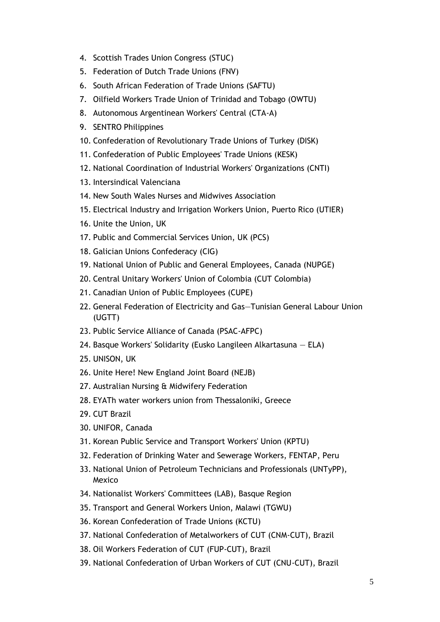- 4. Scottish Trades Union Congress (STUC)
- 5. Federation of Dutch Trade Unions (FNV)
- 6. South African Federation of Trade Unions (SAFTU)
- 7. Oilfield Workers Trade Union of Trinidad and Tobago (OWTU)
- 8. Autonomous Argentinean Workers' Central (CTA-A)
- 9. SENTRO Philippines
- 10. Confederation of Revolutionary Trade Unions of Turkey (DISK)
- 11. Confederation of Public Employees' Trade Unions (KESK)
- 12. National Coordination of Industrial Workers' Organizations (CNTI)
- 13. Intersindical Valenciana
- 14. New South Wales Nurses and Midwives Association
- 15. Electrical Industry and Irrigation Workers Union, Puerto Rico (UTIER)
- 16. Unite the Union, UK
- 17. Public and Commercial Services Union, UK (PCS)
- 18. Galician Unions Confederacy (CIG)
- 19. National Union of Public and General Employees, Canada (NUPGE)
- 20. Central Unitary Workers' Union of Colombia (CUT Colombia)
- 21. Canadian Union of Public Employees (CUPE)
- 22. General Federation of Electricity and Gas—Tunisian General Labour Union (UGTT)
- 23. Public Service Alliance of Canada (PSAC-AFPC)
- 24. Basque Workers' Solidarity (Eusko Langileen Alkartasuna ELA)
- 25. UNISON, UK
- 26. Unite Here! New England Joint Board (NEJB)
- 27. Australian Nursing & Midwifery Federation
- 28. EYATh water workers union from Thessaloniki, Greece
- 29. CUT Brazil
- 30. UNIFOR, Canada
- 31. Korean Public Service and Transport Workers' Union (KPTU)
- 32. Federation of Drinking Water and Sewerage Workers, FENTAP, Peru
- 33. National Union of Petroleum Technicians and Professionals (UNTyPP), Mexico
- 34. Nationalist Workers' Committees (LAB), Basque Region
- 35. Transport and General Workers Union, Malawi (TGWU)
- 36. Korean Confederation of Trade Unions (KCTU)
- 37. National Confederation of Metalworkers of CUT (CNM-CUT), Brazil
- 38. Oil Workers Federation of CUT (FUP-CUT), Brazil
- 39. National Confederation of Urban Workers of CUT (CNU-CUT), Brazil